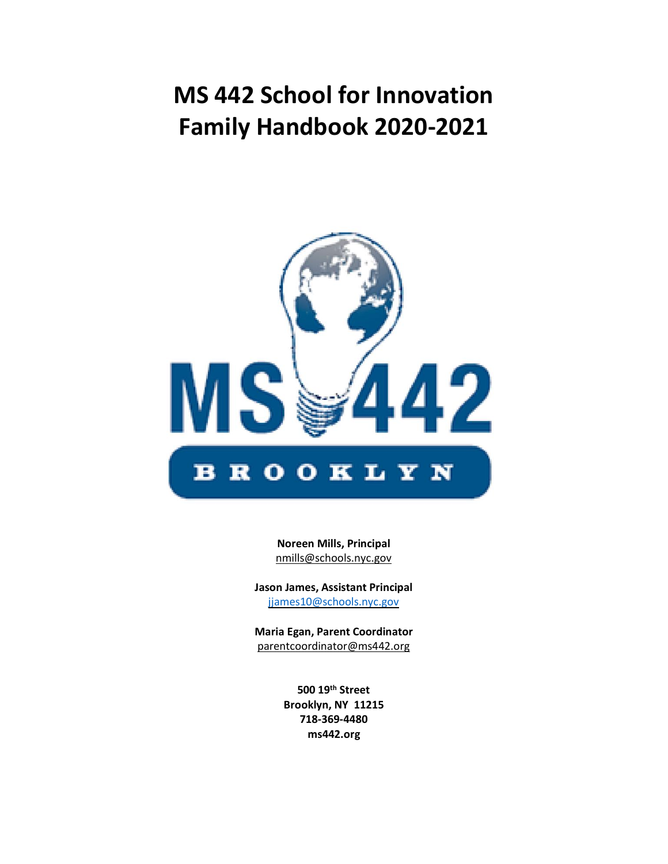**MS 442 School for Innovation Family Handbook 2020-2021**



**Noreen Mills, Principal** [nmills@schools.nyc.gov](mailto:nmills@schools.nyc.gov)

**Jason James, Assistant Principal** [jjames10@schools.nyc.gov](mailto:jjames10@schools.nyc.gov)

**Maria Egan, Parent Coordinator** [parentcoordinator@ms442.org](mailto:parentcoordinator@ms442.org)

> **500 19th Street Brooklyn, NY 11215 718-369-4480 ms442.org**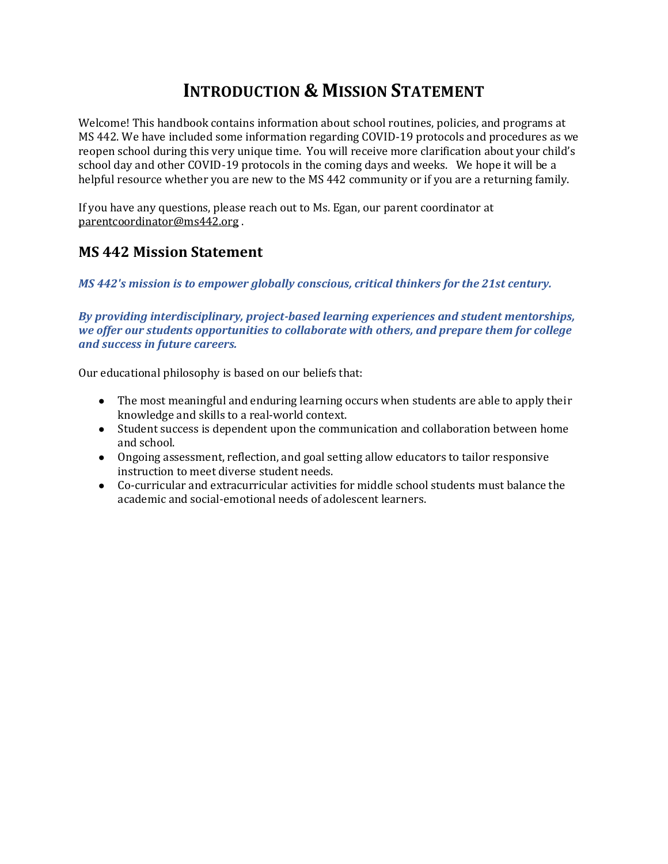# **INTRODUCTION & MISSION STATEMENT**

Welcome! This handbook contains information about school routines, policies, and programs at MS 442. We have included some information regarding COVID-19 protocols and procedures as we reopen school during this very unique time. You will receive more clarification about your child's school day and other COVID-19 protocols in the coming days and weeks. We hope it will be a helpful resource whether you are new to the MS 442 community or if you are a returning family.

If you have any questions, please reach out to Ms. Egan, our parent coordinator at [parentcoordinator@ms442.org](mailto:parentcoordinator@ms442.org) .

### **MS 442 Mission Statement**

*MS 442's mission is to empower globally conscious, critical thinkers for the 21st century.* 

*By providing interdisciplinary, project-based learning experiences and student mentorships, we offer our students opportunities to collaborate with others, and prepare them for college and success in future careers.*

Our educational philosophy is based on our beliefs that:

- The most meaningful and enduring learning occurs when students are able to apply their knowledge and skills to a real-world context.
- Student success is dependent upon the communication and collaboration between home and school.
- Ongoing assessment, reflection, and goal setting allow educators to tailor responsive instruction to meet diverse student needs.
- Co-curricular and extracurricular activities for middle school students must balance the academic and social-emotional needs of adolescent learners.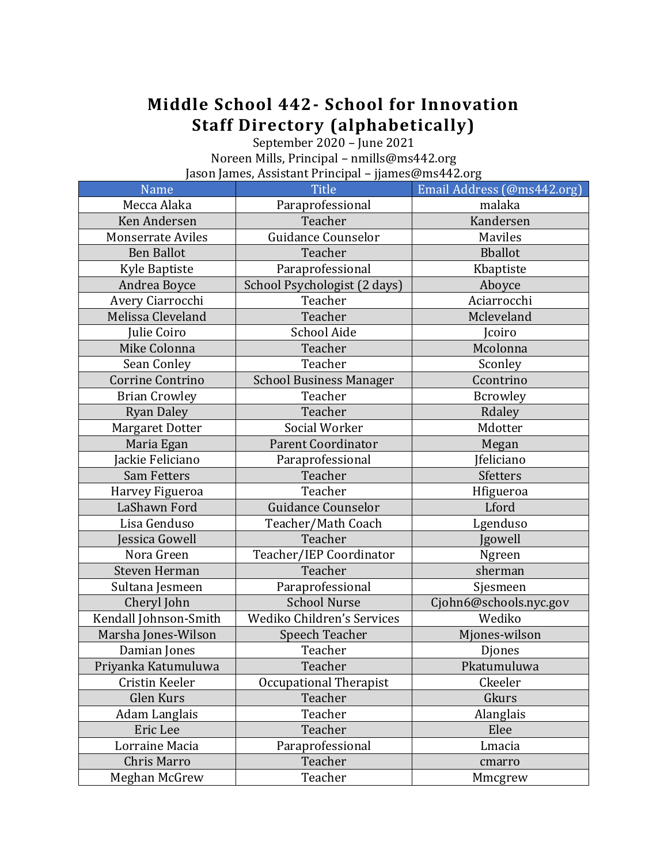# **Middle School 442- School for Innovation Staff Directory (alphabetically)**

September 2020 – June 2021 Noreen Mills, Principal – nmills@ms442.org Jason James, Assistant Principal – jjames@ms442.org

| <b>Name</b>              | <b>Title</b>                   | Email Address (@ms442.org) |
|--------------------------|--------------------------------|----------------------------|
| Mecca Alaka              | Paraprofessional               | malaka                     |
| Ken Andersen             | Teacher                        | Kandersen                  |
| <b>Monserrate Aviles</b> | <b>Guidance Counselor</b>      | Maviles                    |
| <b>Ben Ballot</b>        | Teacher                        | <b>Bballot</b>             |
| Kyle Baptiste            | Paraprofessional               | Kbaptiste                  |
| Andrea Boyce             | School Psychologist (2 days)   | Aboyce                     |
| Avery Ciarrocchi         | Teacher                        | Aciarrocchi                |
| Melissa Cleveland        | Teacher                        | Mcleveland                 |
| Julie Coiro              | <b>School Aide</b>             | Jcoiro                     |
| Mike Colonna             | Teacher                        | Mcolonna                   |
| Sean Conley              | Teacher                        | Sconley                    |
| Corrine Contrino         | <b>School Business Manager</b> | Ccontrino                  |
| <b>Brian Crowley</b>     | Teacher                        | Bcrowley                   |
| <b>Ryan Daley</b>        | Teacher                        | Rdaley                     |
| Margaret Dotter          | Social Worker                  | Mdotter                    |
| Maria Egan               | <b>Parent Coordinator</b>      | Megan                      |
| Jackie Feliciano         | Paraprofessional               | <b>Ifeliciano</b>          |
| <b>Sam Fetters</b>       | Teacher                        | <b>Sfetters</b>            |
| Harvey Figueroa          | Teacher                        | Hfigueroa                  |
| LaShawn Ford             | <b>Guidance Counselor</b>      | Lford                      |
| Lisa Genduso             | Teacher/Math Coach             | Lgenduso                   |
| Jessica Gowell           | Teacher                        | Jgowell                    |
| Nora Green               | Teacher/IEP Coordinator        | Ngreen                     |
| Steven Herman            | Teacher                        | sherman                    |
| Sultana Jesmeen          | Paraprofessional               | Sjesmeen                   |
| Cheryl John              | <b>School Nurse</b>            | Cjohn6@schools.nyc.gov     |
| Kendall Johnson-Smith    | Wediko Children's Services     | Wediko                     |
| Marsha Jones-Wilson      | Speech Teacher                 | Mjones-wilson              |
| Damian Jones             | Teacher                        | Djones                     |
| Priyanka Katumuluwa      | Teacher                        | Pkatumuluwa                |
| Cristin Keeler           | Occupational Therapist         | Ckeeler                    |
| Glen Kurs                | Teacher                        | Gkurs                      |
| Adam Langlais            | Teacher                        | Alanglais                  |
| Eric Lee                 | Teacher                        | Elee                       |
| Lorraine Macia           | Paraprofessional               | Lmacia                     |
| Chris Marro              | Teacher                        | cmarro                     |
| Meghan McGrew            | Teacher                        | Mmcgrew                    |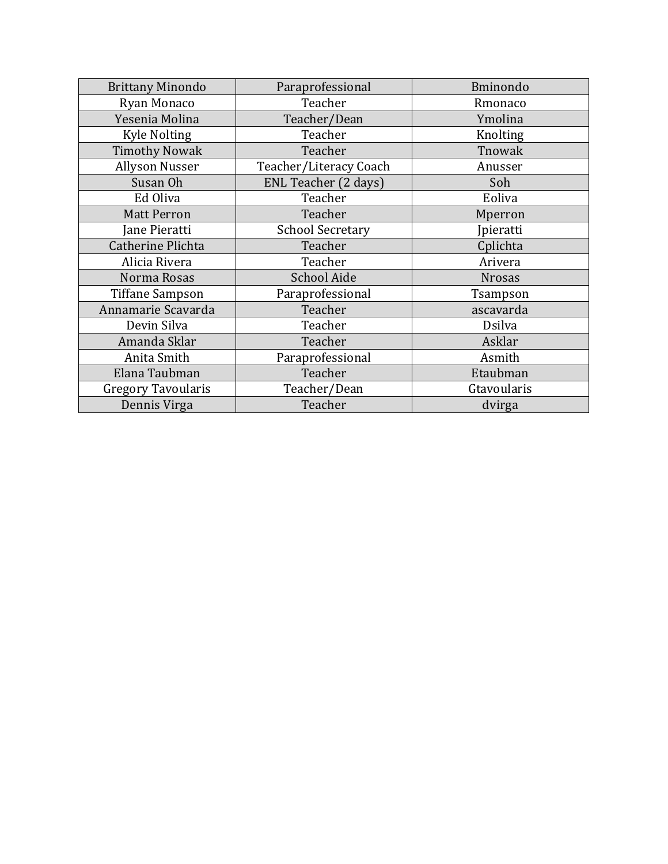| <b>Brittany Minondo</b>   | Paraprofessional        | Bminondo      |
|---------------------------|-------------------------|---------------|
| Ryan Monaco               | Teacher                 | Rmonaco       |
| Yesenia Molina            | Teacher/Dean            | Ymolina       |
| <b>Kyle Nolting</b>       | Teacher                 | Knolting      |
| <b>Timothy Nowak</b>      | Teacher                 | Tnowak        |
| <b>Allyson Nusser</b>     | Teacher/Literacy Coach  | Anusser       |
| Susan Oh                  | ENL Teacher (2 days)    | Soh           |
| Ed Oliva                  | Teacher                 | Eoliva        |
| <b>Matt Perron</b>        | Teacher                 | Mperron       |
| Jane Pieratti             | <b>School Secretary</b> | Jpieratti     |
| Catherine Plichta         | Teacher                 | Cplichta      |
| Alicia Rivera             | Teacher                 | Arivera       |
| Norma Rosas               | <b>School Aide</b>      | <b>Nrosas</b> |
| <b>Tiffane Sampson</b>    | Paraprofessional        | Tsampson      |
| Annamarie Scavarda        | Teacher                 | ascavarda     |
| Devin Silva               | Teacher                 | <b>Dsilva</b> |
| Amanda Sklar              | Teacher                 | Asklar        |
| Anita Smith               | Paraprofessional        | Asmith        |
| Elana Taubman             | Teacher                 | Etaubman      |
| <b>Gregory Tavoularis</b> | Teacher/Dean            | Gtavoularis   |
| Dennis Virga              | Teacher                 | dvirga        |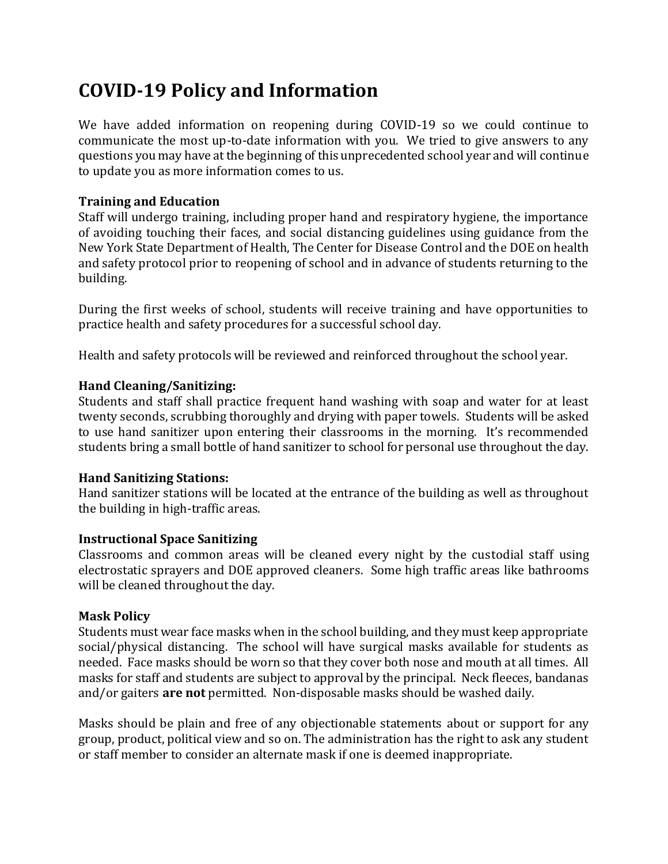# **COVID-19 Policy and Information**

We have added information on reopening during COVID-19 so we could continue to communicate the most up-to-date information with you. We tried to give answers to any questions you may have at the beginning of this unprecedented school year and will continue to update you as more information comes to us.

### **Training and Education**

Staff will undergo training, including proper hand and respiratory hygiene, the importance of avoiding touching their faces, and social distancing guidelines using guidance from the New York State Department of Health, The Center for Disease Control and the DOE on health and safety protocol prior to reopening of school and in advance of students returning to the building.

During the first weeks of school, students will receive training and have opportunities to practice health and safety procedures for a successful school day.

Health and safety protocols will be reviewed and reinforced throughout the school year.

### **Hand Cleaning/Sanitizing:**

Students and staff shall practice frequent hand washing with soap and water for at least twenty seconds, scrubbing thoroughly and drying with paper towels. Students will be asked to use hand sanitizer upon entering their classrooms in the morning. It's recommended students bring a small bottle of hand sanitizer to school for personal use throughout the day.

#### **Hand Sanitizing Stations:**

Hand sanitizer stations will be located at the entrance of the building as well as throughout the building in high-traffic areas.

#### **Instructional Space Sanitizing**

Classrooms and common areas will be cleaned every night by the custodial staff using electrostatic sprayers and DOE approved cleaners. Some high traffic areas like bathrooms will be cleaned throughout the day.

#### **Mask Policy**

Students must wear face masks when in the school building, and they must keep appropriate social/physical distancing. The school will have surgical masks available for students as needed. Face masks should be worn so that they cover both nose and mouth at all times. All masks for staff and students are subject to approval by the principal. Neck fleeces, bandanas and/or gaiters **are not** permitted. Non-disposable masks should be washed daily.

Masks should be plain and free of any objectionable statements about or support for any group, product, political view and so on. The administration has the right to ask any student or staff member to consider an alternate mask if one is deemed inappropriate.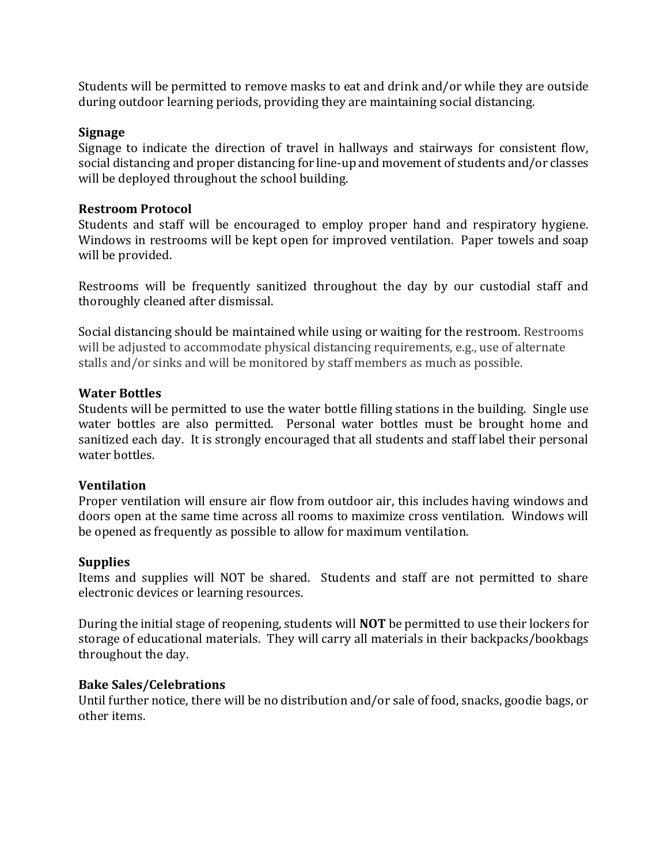Students will be permitted to remove masks to eat and drink and/or while they are outside during outdoor learning periods, providing they are maintaining social distancing.

### **Signage**

Signage to indicate the direction of travel in hallways and stairways for consistent flow, social distancing and proper distancing for line-up and movement of students and/or classes will be deployed throughout the school building.

### **Restroom Protocol**

Students and staff will be encouraged to employ proper hand and respiratory hygiene. Windows in restrooms will be kept open for improved ventilation. Paper towels and soap will be provided.

Restrooms will be frequently sanitized throughout the day by our custodial staff and thoroughly cleaned after dismissal.

Social distancing should be maintained while using or waiting for the restroom. Restrooms will be adjusted to accommodate physical distancing requirements, e.g., use of alternate stalls and/or sinks and will be monitored by staff members as much as possible.

### **Water Bottles**

Students will be permitted to use the water bottle filling stations in the building. Single use water bottles are also permitted. Personal water bottles must be brought home and sanitized each day. It is strongly encouraged that all students and staff label their personal water bottles.

### **Ventilation**

Proper ventilation will ensure air flow from outdoor air, this includes having windows and doors open at the same time across all rooms to maximize cross ventilation. Windows will be opened as frequently as possible to allow for maximum ventilation.

### **Supplies**

Items and supplies will NOT be shared. Students and staff are not permitted to share electronic devices or learning resources.

During the initial stage of reopening, students will **NOT** be permitted to use their lockers for storage of educational materials. They will carry all materials in their backpacks/bookbags throughout the day.

#### **Bake Sales/Celebrations**

Until further notice, there will be no distribution and/or sale of food, snacks, goodie bags, or other items.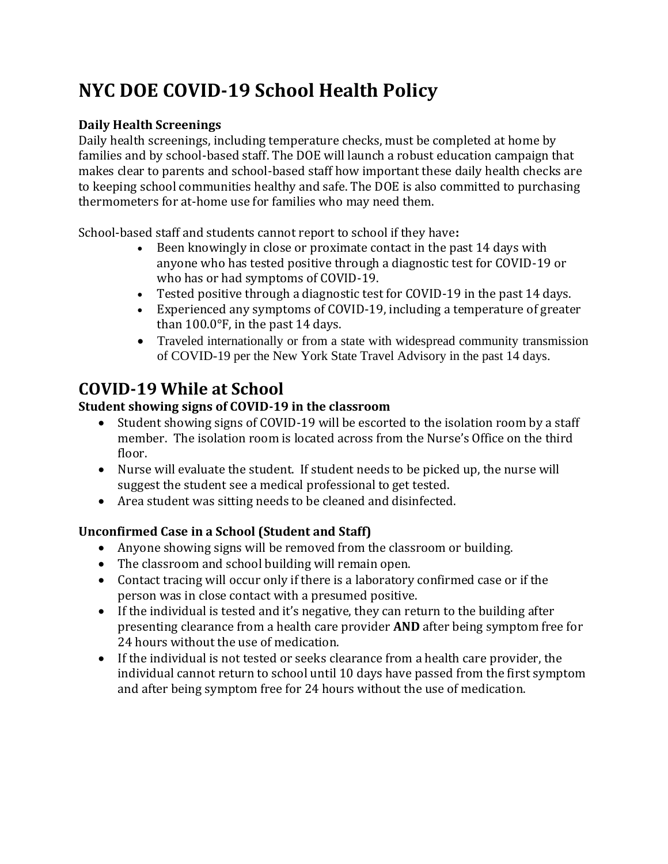# **NYC DOE COVID-19 School Health Policy**

### **Daily Health Screenings**

Daily health screenings, including temperature checks, must be completed at home by families and by school-based staff. The DOE will launch a robust education campaign that makes clear to parents and school-based staff how important these daily health checks are to keeping school communities healthy and safe. The DOE is also committed to purchasing thermometers for at-home use for families who may need them.

School-based staff and students cannot report to school if they have**:** 

- Been knowingly in close or proximate contact in the past 14 days with anyone who has tested positive through a diagnostic test for COVID-19 or who has or had symptoms of COVID-19.
- Tested positive through a diagnostic test for COVID-19 in the past 14 days.
- Experienced any symptoms of COVID-19, including a temperature of greater than 100.0°F, in the past 14 days.
- Traveled internationally or from a state with widespread community transmission of COVID-19 per the New York State Travel Advisory in the past 14 days.

# **COVID-19 While at School**

## **Student showing signs of COVID-19 in the classroom**

- Student showing signs of COVID-19 will be escorted to the isolation room by a staff member. The isolation room is located across from the Nurse's Office on the third floor.
- Nurse will evaluate the student. If student needs to be picked up, the nurse will suggest the student see a medical professional to get tested.
- Area student was sitting needs to be cleaned and disinfected.

## **Unconfirmed Case in a School (Student and Staff)**

- Anyone showing signs will be removed from the classroom or building.
- The classroom and school building will remain open.
- Contact tracing will occur only if there is a laboratory confirmed case or if the person was in close contact with a presumed positive.
- If the individual is tested and it's negative, they can return to the building after presenting clearance from a health care provider **AND** after being symptom free for 24 hours without the use of medication.
- If the individual is not tested or seeks clearance from a health care provider, the individual cannot return to school until 10 days have passed from the first symptom and after being symptom free for 24 hours without the use of medication.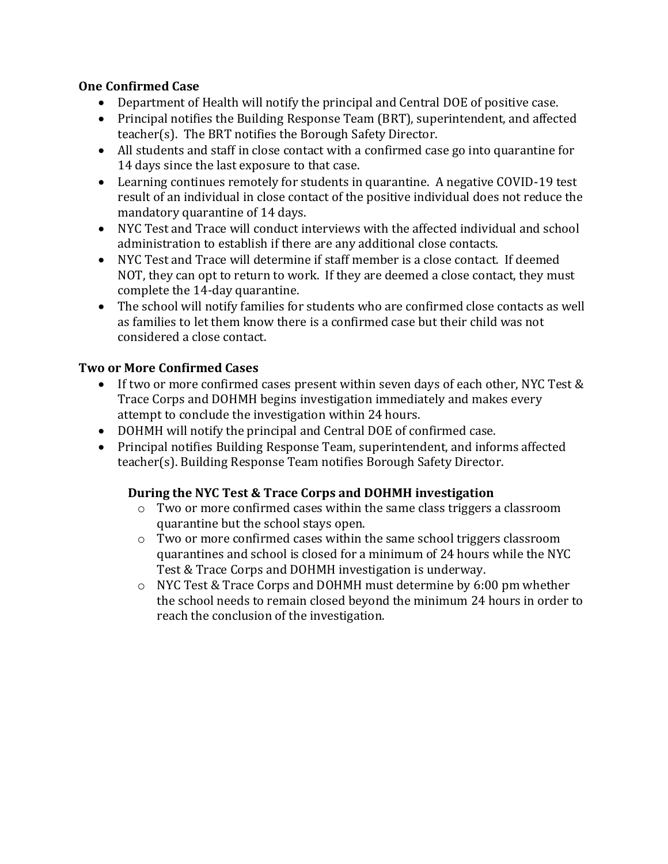### **One Confirmed Case**

- Department of Health will notify the principal and Central DOE of positive case.
- Principal notifies the Building Response Team (BRT), superintendent, and affected teacher(s). The BRT notifies the Borough Safety Director.
- All students and staff in close contact with a confirmed case go into quarantine for 14 days since the last exposure to that case.
- Learning continues remotely for students in quarantine. A negative COVID-19 test result of an individual in close contact of the positive individual does not reduce the mandatory quarantine of 14 days.
- NYC Test and Trace will conduct interviews with the affected individual and school administration to establish if there are any additional close contacts.
- NYC Test and Trace will determine if staff member is a close contact. If deemed NOT, they can opt to return to work. If they are deemed a close contact, they must complete the 14-day quarantine.
- The school will notify families for students who are confirmed close contacts as well as families to let them know there is a confirmed case but their child was not considered a close contact.

### **Two or More Confirmed Cases**

- If two or more confirmed cases present within seven days of each other, NYC Test & Trace Corps and DOHMH begins investigation immediately and makes every attempt to conclude the investigation within 24 hours.
- DOHMH will notify the principal and Central DOE of confirmed case.
- Principal notifies Building Response Team, superintendent, and informs affected teacher(s). Building Response Team notifies Borough Safety Director.

### **During the NYC Test & Trace Corps and DOHMH investigation**

- o Two or more confirmed cases within the same class triggers a classroom quarantine but the school stays open.
- o Two or more confirmed cases within the same school triggers classroom quarantines and school is closed for a minimum of 24 hours while the NYC Test & Trace Corps and DOHMH investigation is underway.
- o NYC Test & Trace Corps and DOHMH must determine by 6:00 pm whether the school needs to remain closed beyond the minimum 24 hours in order to reach the conclusion of the investigation.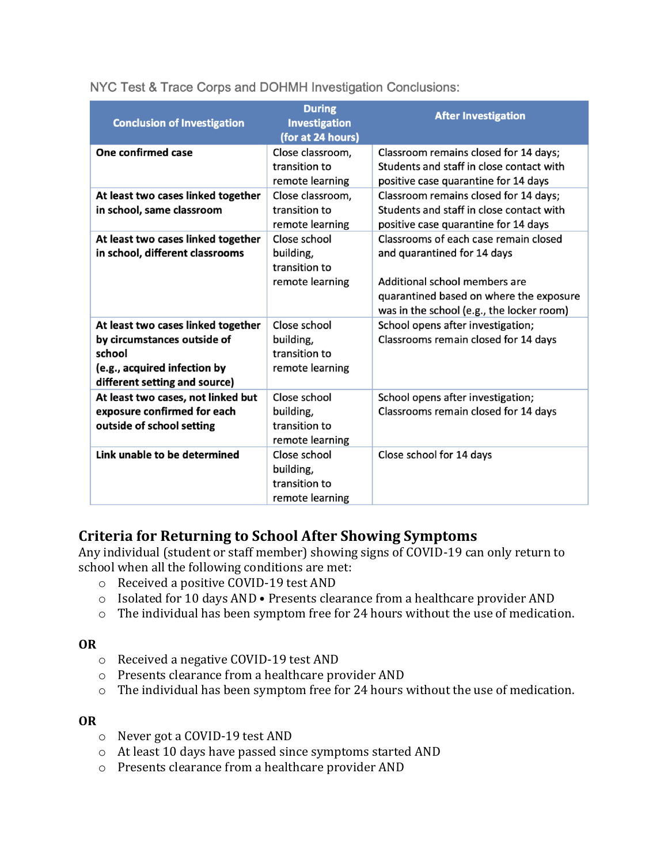| <b>Conclusion of Investigation</b>                            | <b>During</b><br><b>Investigation</b><br>(for at 24 hours) | <b>After Investigation</b>                                                       |
|---------------------------------------------------------------|------------------------------------------------------------|----------------------------------------------------------------------------------|
| One confirmed case                                            | Close classroom,                                           | Classroom remains closed for 14 days;                                            |
|                                                               | transition to                                              | Students and staff in close contact with                                         |
|                                                               | remote learning                                            | positive case quarantine for 14 days                                             |
| At least two cases linked together                            | Close classroom,                                           | Classroom remains closed for 14 days;                                            |
| in school, same classroom                                     | transition to<br>remote learning                           | Students and staff in close contact with<br>positive case quarantine for 14 days |
| At least two cases linked together                            | Close school                                               | Classrooms of each case remain closed                                            |
| in school, different classrooms                               | building,<br>transition to                                 | and quarantined for 14 days                                                      |
|                                                               | remote learning                                            | Additional school members are                                                    |
|                                                               |                                                            | quarantined based on where the exposure                                          |
|                                                               |                                                            | was in the school (e.g., the locker room)                                        |
| At least two cases linked together                            | Close school                                               | School opens after investigation;                                                |
| by circumstances outside of                                   | building,                                                  | Classrooms remain closed for 14 days                                             |
| school                                                        | transition to                                              |                                                                                  |
| (e.g., acquired infection by<br>different setting and source) | remote learning                                            |                                                                                  |
| At least two cases, not linked but                            | Close school                                               | School opens after investigation;                                                |
| exposure confirmed for each                                   | building,                                                  | Classrooms remain closed for 14 days                                             |
| outside of school setting                                     | transition to                                              |                                                                                  |
|                                                               | remote learning                                            |                                                                                  |
| Link unable to be determined                                  | Close school                                               | Close school for 14 days                                                         |
|                                                               | building,                                                  |                                                                                  |
|                                                               | transition to                                              |                                                                                  |
|                                                               | remote learning                                            |                                                                                  |

NYC Test & Trace Corps and DOHMH Investigation Conclusions:

## **Criteria for Returning to School After Showing Symptoms**

Any individual (student or staff member) showing signs of COVID-19 can only return to school when all the following conditions are met:

- o Received a positive COVID-19 test AND
- o Isolated for 10 days AND Presents clearance from a healthcare provider AND
- o The individual has been symptom free for 24 hours without the use of medication.

#### **OR**

- o Received a negative COVID-19 test AND
- o Presents clearance from a healthcare provider AND
- o The individual has been symptom free for 24 hours without the use of medication.

#### **OR**

- o Never got a COVID-19 test AND
- o At least 10 days have passed since symptoms started AND
- o Presents clearance from a healthcare provider AND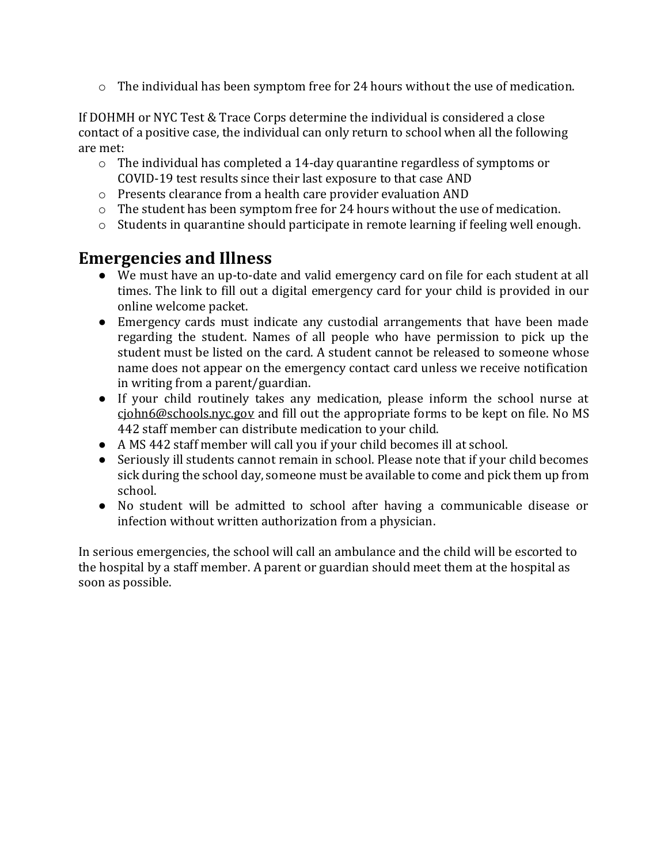$\circ$  The individual has been symptom free for 24 hours without the use of medication.

If DOHMH or NYC Test & Trace Corps determine the individual is considered a close contact of a positive case, the individual can only return to school when all the following are met:

- o The individual has completed a 14-day quarantine regardless of symptoms or COVID-19 test results since their last exposure to that case AND
- o Presents clearance from a health care provider evaluation AND
- $\circ$  The student has been symptom free for 24 hours without the use of medication.
- o Students in quarantine should participate in remote learning if feeling well enough.

# **Emergencies and Illness**

- We must have an up-to-date and valid emergency card on file for each student at all times. The link to fill out a digital emergency card for your child is provided in our online welcome packet.
- Emergency cards must indicate any custodial arrangements that have been made regarding the student. Names of all people who have permission to pick up the student must be listed on the card. A student cannot be released to someone whose name does not appear on the emergency contact card unless we receive notification in writing from a parent/guardian.
- If your child routinely takes any medication, please inform the school nurse at [cjohn6@schools.nyc.gov](mailto:cjohn6@schools.nyc.gov) and fill out the appropriate forms to be kept on file. No MS 442 staff member can distribute medication to your child.
- A MS 442 staff member will call you if your child becomes ill at school.
- Seriously ill students cannot remain in school. Please note that if your child becomes sick during the school day, someone must be available to come and pick them up from school.
- No student will be admitted to school after having a communicable disease or infection without written authorization from a physician.

In serious emergencies, the school will call an ambulance and the child will be escorted to the hospital by a staff member. A parent or guardian should meet them at the hospital as soon as possible.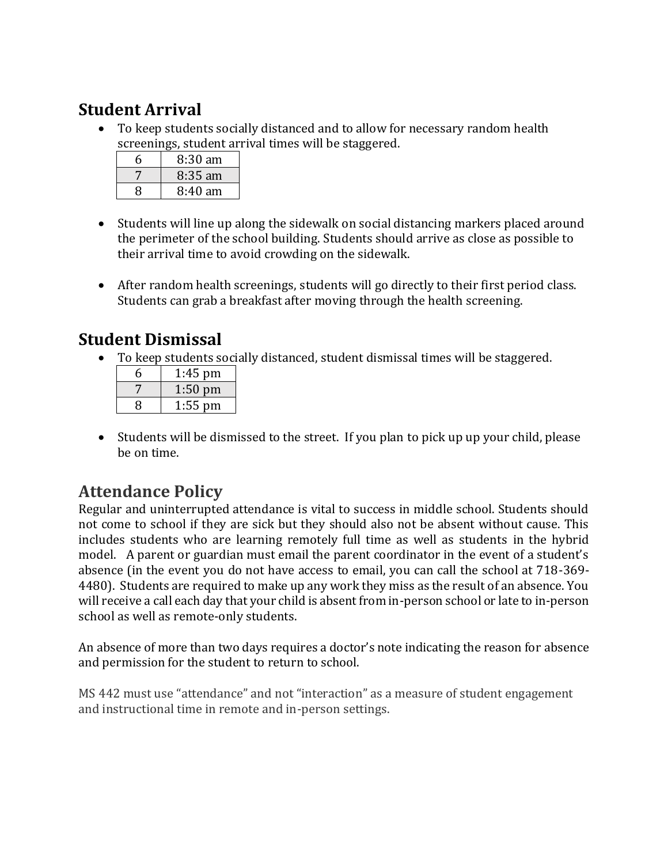# **Student Arrival**

• To keep students socially distanced and to allow for necessary random health screenings, student arrival times will be staggered.

| h | $8:30$ am |
|---|-----------|
|   | $8:35$ am |
| R | 8:40 am   |

- Students will line up along the sidewalk on social distancing markers placed around the perimeter of the school building. Students should arrive as close as possible to their arrival time to avoid crowding on the sidewalk.
- After random health screenings, students will go directly to their first period class. Students can grab a breakfast after moving through the health screening.

# **Student Dismissal**

• To keep students socially distanced, student dismissal times will be staggered.

| 6 | 1:45 pm   |
|---|-----------|
|   | $1:50$ pm |
|   | $1:55$ pm |

• Students will be dismissed to the street. If you plan to pick up up your child, please be on time.

# **Attendance Policy**

Regular and uninterrupted attendance is vital to success in middle school. Students should not come to school if they are sick but they should also not be absent without cause. This includes students who are learning remotely full time as well as students in the hybrid model. A parent or guardian must email the parent coordinator in the event of a student's absence (in the event you do not have access to email, you can call the school at 718-369- 4480). Students are required to make up any work they miss as the result of an absence. You will receive a call each day that your child is absent from in-person school or late to in-person school as well as remote-only students.

An absence of more than two days requires a doctor's note indicating the reason for absence and permission for the student to return to school.

MS 442 must use "attendance" and not "interaction" as a measure of student engagement and instructional time in remote and in-person settings.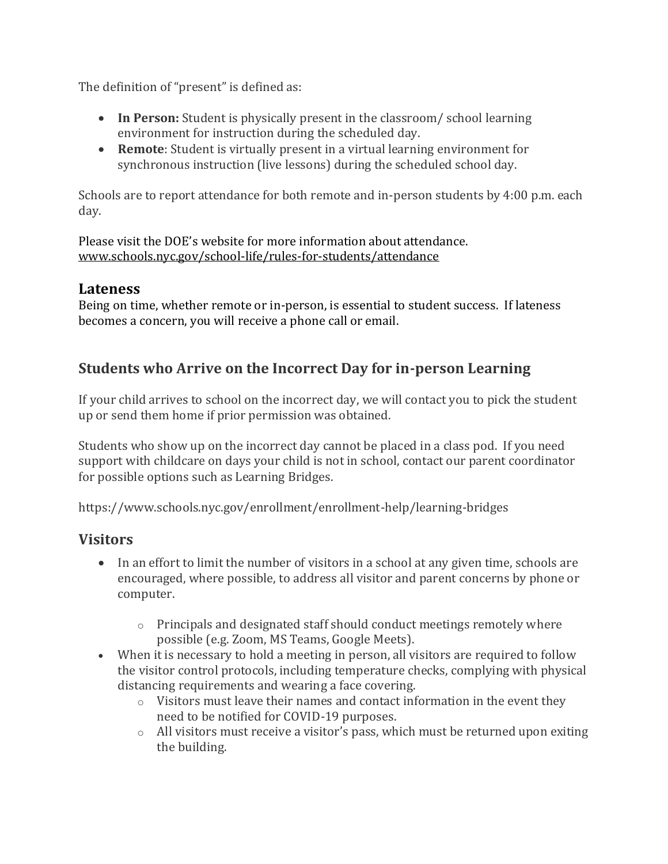The definition of "present" is defined as:

- **In Person:** Student is physically present in the classroom/ school learning environment for instruction during the scheduled day.
- **Remote**: Student is virtually present in a virtual learning environment for synchronous instruction (live lessons) during the scheduled school day.

Schools are to report attendance for both remote and in-person students by 4:00 p.m. each day.

Please visit the DOE's website for more information about attendance. [www.schools.nyc.gov/school-life/rules-for-students/attendance](https://www.schools.nyc.gov/school-life/rules-for-students/attendance)

### **Lateness**

Being on time, whether remote or in-person, is essential to student success. If lateness becomes a concern, you will receive a phone call or email.

## **Students who Arrive on the Incorrect Day for in-person Learning**

If your child arrives to school on the incorrect day, we will contact you to pick the student up or send them home if prior permission was obtained.

Students who show up on the incorrect day cannot be placed in a class pod. If you need support with childcare on days your child is not in school, contact our parent coordinator for possible options such as Learning Bridges.

https://www.schools.nyc.gov/enrollment/enrollment-help/learning-bridges

## **Visitors**

- In an effort to limit the number of visitors in a school at any given time, schools are encouraged, where possible, to address all visitor and parent concerns by phone or computer.
	- o Principals and designated staff should conduct meetings remotely where possible (e.g. Zoom, MS Teams, Google Meets).
- When it is necessary to hold a meeting in person, all visitors are required to follow the visitor control protocols, including temperature checks, complying with physical distancing requirements and wearing a face covering.
	- o Visitors must leave their names and contact information in the event they need to be notified for COVID-19 purposes.
	- o All visitors must receive a visitor's pass, which must be returned upon exiting the building.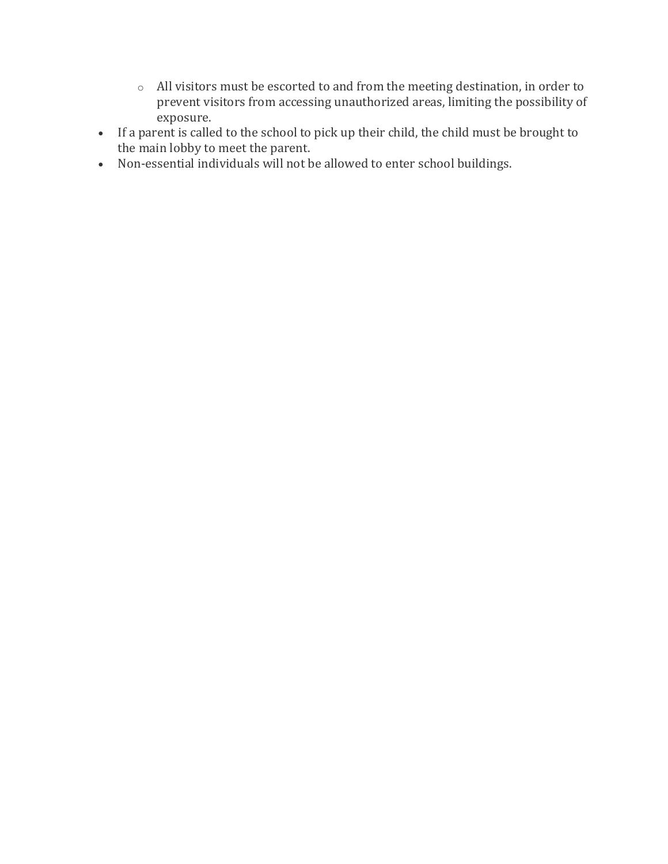- o All visitors must be escorted to and from the meeting destination, in order to prevent visitors from accessing unauthorized areas, limiting the possibility of exposure.
- If a parent is called to the school to pick up their child, the child must be brought to the main lobby to meet the parent.
- Non-essential individuals will not be allowed to enter school buildings.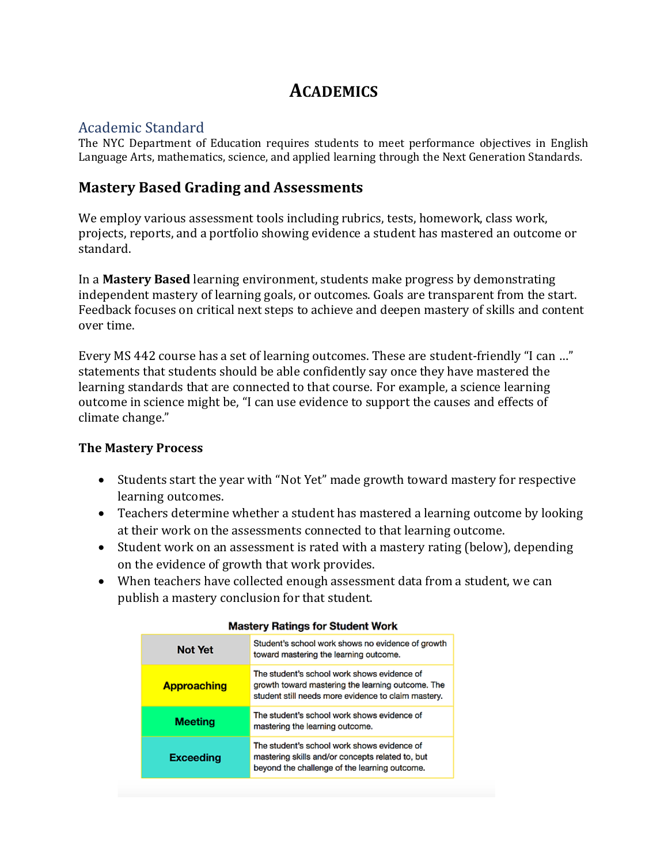# **ACADEMICS**

### Academic Standard

The NYC Department of Education requires students to meet performance objectives in English Language Arts, mathematics, science, and applied learning through the Next Generation Standards.

### **Mastery Based Grading and Assessments**

We employ various assessment tools including rubrics, tests, homework, class work, projects, reports, and a portfolio showing evidence a student has mastered an outcome or standard.

In a **Mastery Based** learning environment, students make progress by demonstrating independent mastery of learning goals, or outcomes. Goals are transparent from the start. Feedback focuses on critical next steps to achieve and deepen mastery of skills and content over time.

Every MS 442 course has a set of learning outcomes. These are student-friendly "I can …" statements that students should be able confidently say once they have mastered the learning standards that are connected to that course. For example, a science learning outcome in science might be, "I can use evidence to support the causes and effects of climate change."

#### **The Mastery Process**

- Students start the year with "Not Yet" made growth toward mastery for respective learning outcomes.
- Teachers determine whether a student has mastered a learning outcome by looking at their work on the assessments connected to that learning outcome.
- Student work on an assessment is rated with a mastery rating (below), depending on the evidence of growth that work provides.
- When teachers have collected enough assessment data from a student, we can publish a mastery conclusion for that student.

| <b>Not Yet</b>     | Student's school work shows no evidence of growth<br>toward mastering the learning outcome.                                                             |
|--------------------|---------------------------------------------------------------------------------------------------------------------------------------------------------|
| <b>Approaching</b> | The student's school work shows evidence of<br>growth toward mastering the learning outcome. The<br>student still needs more evidence to claim mastery. |
| <b>Meeting</b>     | The student's school work shows evidence of<br>mastering the learning outcome.                                                                          |
| <b>Exceeding</b>   | The student's school work shows evidence of<br>mastering skills and/or concepts related to, but<br>beyond the challenge of the learning outcome.        |

#### **Mastery Ratings for Student Work**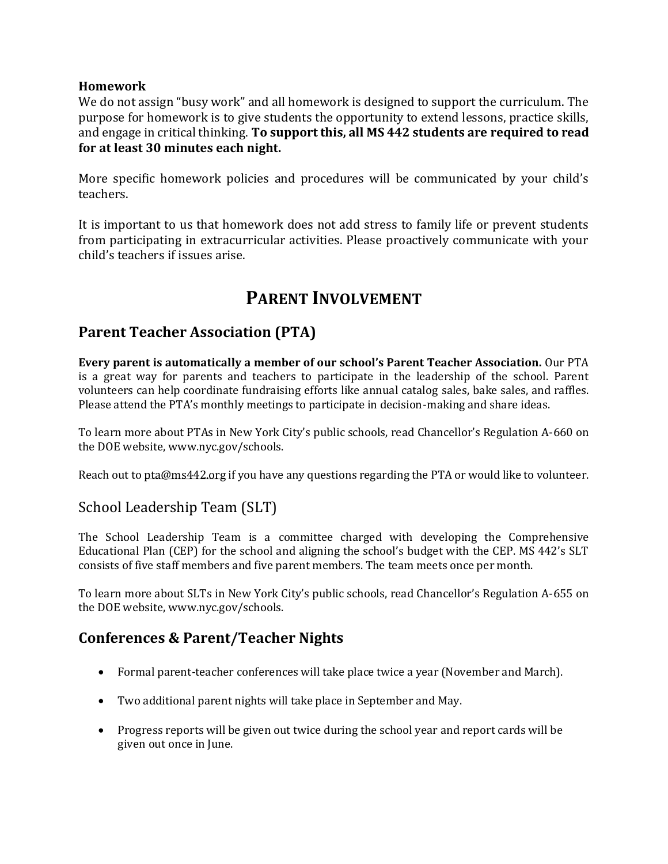#### **Homework**

We do not assign "busy work" and all homework is designed to support the curriculum. The purpose for homework is to give students the opportunity to extend lessons, practice skills, and engage in critical thinking. **To support this, all MS 442 students are required to read for at least 30 minutes each night.**

More specific homework policies and procedures will be communicated by your child's teachers.

It is important to us that homework does not add stress to family life or prevent students from participating in extracurricular activities. Please proactively communicate with your child's teachers if issues arise.

# **PARENT INVOLVEMENT**

## **Parent Teacher Association (PTA)**

**Every parent is automatically a member of our school's Parent Teacher Association.** Our PTA is a great way for parents and teachers to participate in the leadership of the school. Parent volunteers can help coordinate fundraising efforts like annual catalog sales, bake sales, and raffles. Please attend the PTA's monthly meetings to participate in decision-making and share ideas.

To learn more about PTAs in New York City's public schools, read Chancellor's Regulation A-660 on the DOE website, [www.nyc.gov/schools.](http://www.nyc.gov/schools)

Reach out t[o pta@ms442.org](mailto:pta@ms442.org) if you have any questions regarding the PTA or would like to volunteer.

### School Leadership Team (SLT)

The School Leadership Team is a committee charged with developing the Comprehensive Educational Plan (CEP) for the school and aligning the school's budget with the CEP. MS 442's SLT consists of five staff members and five parent members. The team meets once per month.

To learn more about SLTs in New York City's public schools, read Chancellor's Regulation A-655 on the DOE website, [www.nyc.gov/schools.](http://www.nyc.gov/schools)

### **Conferences & Parent/Teacher Nights**

- Formal parent-teacher conferences will take place twice a year (November and March).
- Two additional parent nights will take place in September and May.
- Progress reports will be given out twice during the school year and report cards will be given out once in June.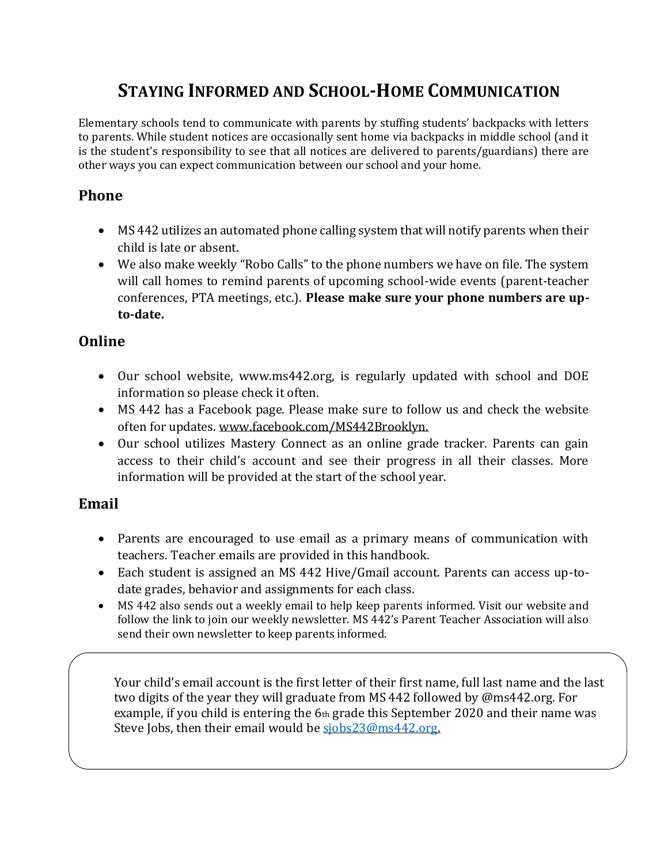# **STAYING INFORMED AND SCHOOL-HOME COMMUNICATION**

Elementary schools tend to communicate with parents by stuffing students' backpacks with letters to parents. While student notices are occasionally sent home via backpacks in middle school (and it is the student's responsibility to see that all notices are delivered to parents/guardians) there are other ways you can expect communication between our school and your home.

## **Phone**

- MS 442 utilizes an automated phone calling system that will notify parents when their child is late or absent.
- We also make weekly "Robo Calls" to the phone numbers we have on file. The system will call homes to remind parents of upcoming school-wide events (parent-teacher conferences, PTA meetings, etc.). **Please make sure your phone numbers are upto-date.**

## **Online**

- Our school website, www.ms442.org, is regularly updated with school and DOE information so please check it often.
- MS 442 has a Facebook page. Please make sure to follow us and check the website often for updates. [www.facebook.com/MS442Brooklyn.](https://www.facebook.com/MS442Brooklyn)
- Our school utilizes Mastery Connect as an online grade tracker. Parents can gain access to their child's account and see their progress in all their classes. More information will be provided at the start of the school year.

### **Email**

- Parents are encouraged to use email as a primary means of communication with teachers. Teacher emails are provided in this handbook.
- Each student is assigned an MS 442 Hive/Gmail account. Parents can access up-todate grades, behavior and assignments for each class.
- MS 442 also sends out a weekly email to help keep parents informed. Visit our website and follow the link to join our weekly newsletter. MS 442's Parent Teacher Association will also send their own newsletter to keep parents informed.

Your child's email account is the first letter of their first name, full last name and the last two digits of the year they will graduate from MS 442 followed by @ms442.org. For example, if you child is entering the  $6<sub>th</sub>$  grade this September 2020 and their name was Steve Jobs, then their email would be siobs23@ms442.org.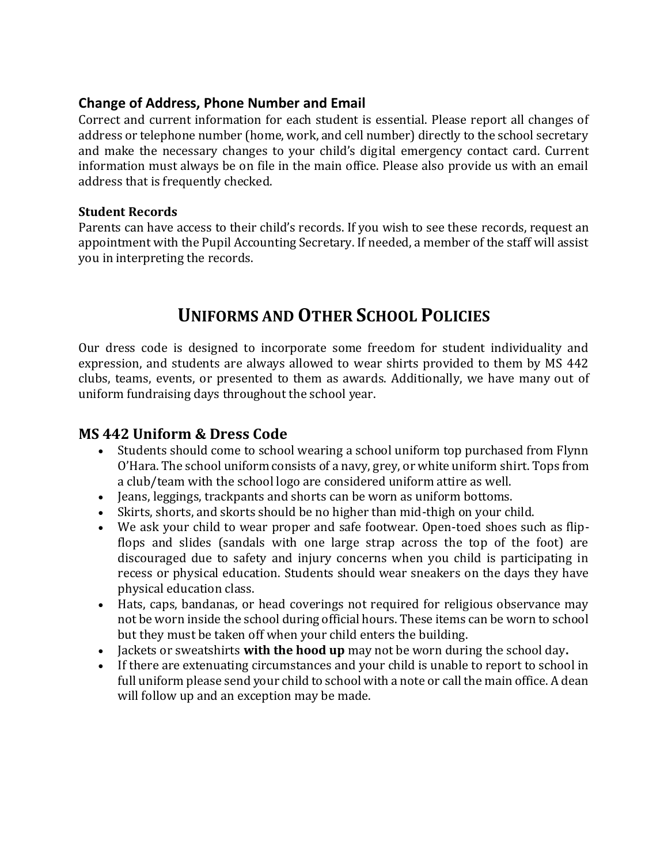### **Change of Address, Phone Number and Email**

Correct and current information for each student is essential. Please report all changes of address or telephone number (home, work, and cell number) directly to the school secretary and make the necessary changes to your child's digital emergency contact card. Current information must always be on file in the main office. Please also provide us with an email address that is frequently checked.

### **Student Records**

Parents can have access to their child's records. If you wish to see these records, request an appointment with the Pupil Accounting Secretary. If needed, a member of the staff will assist you in interpreting the records.

# **UNIFORMS AND OTHER SCHOOL POLICIES**

Our dress code is designed to incorporate some freedom for student individuality and expression, and students are always allowed to wear shirts provided to them by MS 442 clubs, teams, events, or presented to them as awards. Additionally, we have many out of uniform fundraising days throughout the school year.

## **MS 442 Uniform & Dress Code**

- Students should come to school wearing a school uniform top purchased from Flynn O'Hara. The school uniform consists of a navy, grey, or white uniform shirt. Tops from a club/team with the school logo are considered uniform attire as well.
- Jeans, leggings, trackpants and shorts can be worn as uniform bottoms.
- Skirts, shorts, and skorts should be no higher than mid-thigh on your child.
- We ask your child to wear proper and safe footwear. Open-toed shoes such as flipflops and slides (sandals with one large strap across the top of the foot) are discouraged due to safety and injury concerns when you child is participating in recess or physical education. Students should wear sneakers on the days they have physical education class.
- Hats, caps, bandanas, or head coverings not required for religious observance may not be worn inside the school during official hours. These items can be worn to school but they must be taken off when your child enters the building.
- Jackets or sweatshirts **with the hood up** may not be worn during the school day**.**
- If there are extenuating circumstances and your child is unable to report to school in full uniform please send your child to school with a note or call the main office. A dean will follow up and an exception may be made.